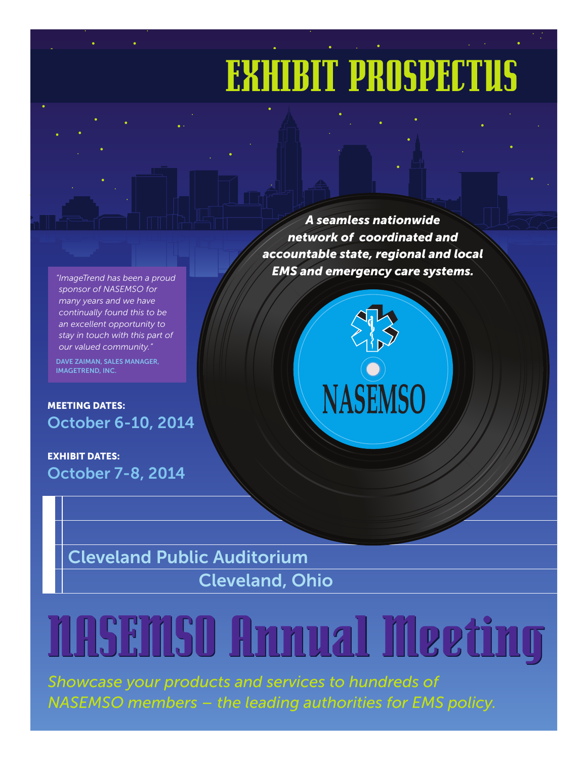## EXHIBIT PROSPECTUS

*"ImageTrend has been a proud sponsor of NASEMSO for many years and we have continually found this to be an excellent opportunity to stay in touch with this part of our valued community."*

DAVE ZAIMAN, SALES MANAGER, IMAGETREND, INC.

MEETING DATES: October 6-10, 2014

EXHIBIT DATES: October 7-8, 2014

*A seamless nationwide network of coordinated and accountable state, regional and local EMS and emergency care systems.*



Cleveland Public Auditorium Cleveland, Ohio

# NASEMSO Annual Meeting NASEMSO Annual Meeting

*Showcase your products and services to hundreds of NASEMSO members – the leading authorities for EMS policy.*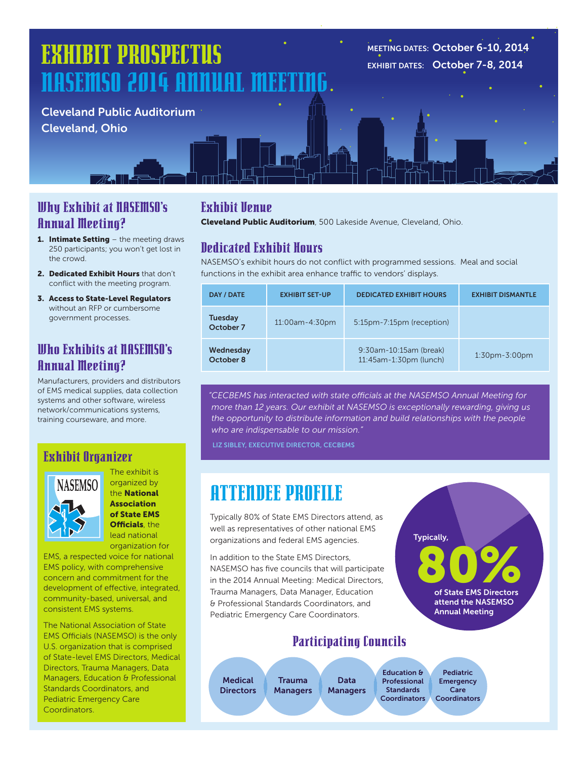## EXHIBIT PROSPECTUS NASEMSO 2014 ANNUAL M

Cleveland Public Auditorium Cleveland, Ohio

MEETING DATES: October 6-10, 2014 EXHIBIT DATES: October 7-8, 2014

#### Why Exhibit at NASEMSO's Annual Meeting?

- 1. Intimate Setting the meeting draws 250 participants; you won't get lost in the crowd.
- 2. Dedicated Exhibit Hours that don't conflict with the meeting program.
- 3. Access to State-Level Regulators without an RFP or cumbersome government processes.

#### Who Exhibits at NASEMSO's Annual Meeting?

Manufacturers, providers and distributors of EMS medical supplies, data collection systems and other software, wireless network/communications systems, training courseware, and more.

#### Exhibit Organizer



The exhibit is organized by the National Association of State EMS Officials, the lead national organization for

concern and commitment for the EMS policy, with comprehensive EMS, a respected voice for national development of effective, integrated, community-based, universal, and consistent EMS systems.

> The National Association of State EMS Officials (NASEMSO) is the only U.S. organization that is comprised of State-level EMS Directors, Medical Directors, Trauma Managers, Data Managers, Education & Professional Standards Coordinators, and Pediatric Emergency Care Coordinators.

#### Exhibit Venue

Cleveland Public Auditorium, 500 Lakeside Avenue, Cleveland, Ohio.

#### Dedicated Exhibit Hours

NASEMSO's exhibit hours do not conflict with programmed sessions. Meal and social functions in the exhibit area enhance traffic to vendors' displays.

| DAY / DATE                  | <b>EXHIBIT SET-UP</b> | <b>DEDICATED EXHIBIT HOURS</b>                   | <b>EXHIBIT DISMANTLE</b> |
|-----------------------------|-----------------------|--------------------------------------------------|--------------------------|
| <b>Tuesday</b><br>October 7 | 11:00am-4:30pm        | 5:15pm-7:15pm (reception)                        |                          |
| Wednesday<br>October 8      |                       | 9:30am-10:15am (break)<br>11:45am-1:30pm (lunch) | $1:30$ pm- $3:00$ pm     |

*"CECBEMS has interacted with state officials at the NASEMSO Annual Meeting for more than 12 years. Our exhibit at NASEMSO is exceptionally rewarding, giving us the opportunity to distribute information and build relationships with the people who are indispensable to our mission."*

LIZ SIBLEY, EXECUTIVE DIRECTOR, CECBEMS

## ATTENDEE PROFILE

Typically 80% of State EMS Directors attend, as well as representatives of other national EMS organizations and federal EMS agencies.

vis Directors,<br>:ils that will participate<br>ng: Medical Directors,<br>Aanager, Education o<br>state Employee State & Professional Standards Coordinators, and Pediatric Emergency Care Coordinators. In addition to the State EMS Directors, NASEMSO has five councils that will participate in the 2014 Annual Meeting: Medical Directors, Trauma Managers, Data Manager, Education

### Participating Councils

Data

Directors

**Medical Directors** 

Trauma Managers Managers

Education & Professional **Standards** Coordinators

Pediatric **Emergency** Care 2 Coordinators

80%

Typically,

of State EMS Directors attend the NASEMSO Annual Meeting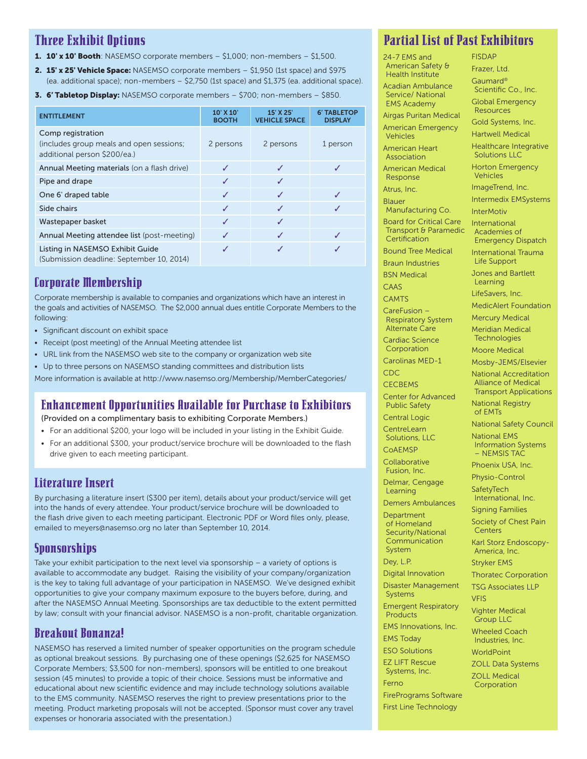#### Three Exhibit Options

- 1. 10' x 10' Booth: NASEMSO corporate members  $-$  \$1,000; non-members  $-$  \$1,500.
- 2. 15' x 25' Vehicle Space: NASEMSO corporate members \$1,950 (1st space) and \$975 (ea. additional space); non-members – \$2,750 (1st space) and \$1,375 (ea. additional space).
- 3. 6' Tabletop Display: NASEMSO corporate members \$700; non-members \$850.

| <b>ENTITLEMENT</b>                                                                            | 10' X 10'<br><b>BOOTH</b> | 15' X 25"<br><b>VEHICLE SPACE</b> | <b>6' TABLETOP</b><br><b>DISPLAY</b> |
|-----------------------------------------------------------------------------------------------|---------------------------|-----------------------------------|--------------------------------------|
| Comp registration<br>(includes group meals and open sessions;<br>additional person \$200/ea.) | 2 persons                 | 2 persons                         | 1 person                             |
| Annual Meeting materials (on a flash drive)                                                   | J                         |                                   |                                      |
| Pipe and drape                                                                                | ✓                         | J                                 |                                      |
| One 6' draped table                                                                           | ✓                         | J                                 |                                      |
| Side chairs                                                                                   | ✓                         | √                                 |                                      |
| Wastepaper basket                                                                             | ✓                         |                                   |                                      |
| Annual Meeting attendee list (post-meeting)                                                   | ✓                         | J                                 |                                      |
| Listing in NASEMSO Exhibit Guide<br>(Submission deadline: September 10, 2014)                 | J                         |                                   |                                      |

#### Corporate Membership

Corporate membership is available to companies and organizations which have an interest in the goals and activities of NASEMSO. The \$2,000 annual dues entitle Corporate Members to the following:

- Significant discount on exhibit space
- Receipt (post meeting) of the Annual Meeting attendee list
- URL link from the NASEMSO web site to the company or organization web site
- Up to three persons on NASEMSO standing committees and distribution lists

More information is available at http://www.nasemso.org/Membership/MemberCategories/

#### Enhancement Opportunities Available for Purchase to Exhibitors

(Provided on a complimentary basis to exhibiting Corporate Members.)

- For an additional \$200, your logo will be included in your listing in the Exhibit Guide.
- For an additional \$300, your product/service brochure will be downloaded to the flash drive given to each meeting participant.

#### Literature Insert

By purchasing a literature insert (\$300 per item), details about your product/service will get into the hands of every attendee. Your product/service brochure will be downloaded to the flash drive given to each meeting participant. Electronic PDF or Word files only, please, emailed to meyers@nasemso.org no later than September 10, 2014.

#### **Sponsorships**

Take your exhibit participation to the next level via sponsorship – a variety of options is available to accommodate any budget. Raising the visibility of your company/organization is the key to taking full advantage of your participation in NASEMSO. We've designed exhibit opportunities to give your company maximum exposure to the buyers before, during, and after the NASEMSO Annual Meeting. Sponsorships are tax deductible to the extent permitted by law; consult with your financial advisor. NASEMSO is a non-profit, charitable organization.

#### Breakout Bonanza!

NASEMSO has reserved a limited number of speaker opportunities on the program schedule as optional breakout sessions. By purchasing one of these openings (\$2,625 for NASEMSO Corporate Members; \$3,500 for non-members), sponsors will be entitled to one breakout session (45 minutes) to provide a topic of their choice. Sessions must be informative and educational about new scientific evidence and may include technology solutions available to the EMS community. NASEMSO reserves the right to preview presentations prior to the meeting. Product marketing proposals will not be accepted. (Sponsor must cover any travel expenses or honoraria associated with the presentation.)

#### Partial List of Past Exhibitors

24-7 EMS and American Safety & Health Institute

Acadian Ambulance Service/ National EMS Academy

Airgas Puritan Medical American Emergency Vehicles

American Heart Association

American Medical Response

Atrus, Inc.

Blauer Manufacturing Co.

Board for Critical Care Transport & Paramedic **Certification** 

Bound Tree Medical

Braun Industries BSN Medical

CAAS

**CAMTS** 

CareFusion – Respiratory System Alternate Care

Cardiac Science Corporation

Carolinas MED-1

CDC

**CECBEMS** 

Center for Advanced Public Safety

Central Logic **CentreLearn** 

Solutions, LLC CoAEMSP

Collaborative Fusion, Inc.

Delmar, Cengage Learning

Demers Ambulances **Department** 

of Homeland Security/National Communication System

Dey, L.P. Digital Innovation

Disaster Management

Systems Emergent Respiratory

**Products** 

EMS Innovations, Inc. EMS Today

ESO Solutions

EZ LIFT Rescue Systems, Inc.

Ferno

FirePrograms Software First Line Technology

FISDAP Frazer, Ltd. Gaumard® Scientific Co., Inc. Global Emergency **Resources** 

Gold Systems, Inc.

Hartwell Medical

Healthcare Integrative Solutions LLC

Horton Emergency Vehicles

ImageTrend, Inc. Intermedix EMSystems

**InterMotiv** 

International Academies of

Emergency Dispatch International Trauma

Life Support

Jones and Bartlett Learning

LifeSavers, Inc.

MedicAlert Foundation

Mercury Medical Meridian Medical

**Technologies** 

Moore Medical

Mosby-JEMS/Elsevier

National Accreditation Alliance of Medical

> Transport Applications National Registry

of EMTs

National Safety Council National EMS

Information Systems – NEMSIS TAC

Phoenix USA, Inc.

Physio-Control SafetyTech

International, Inc.

Signing Families

Society of Chest Pain **Centers** 

Karl Storz Endoscopy-America, Inc.

Stryker EMS

Thoratec Corporation

TSG Associates LLP VFIS

Vighter Medical

Group LLC

Wheeled Coach Industries, Inc.

**WorldPoint** 

ZOLL Data Systems

ZOLL Medical Corporation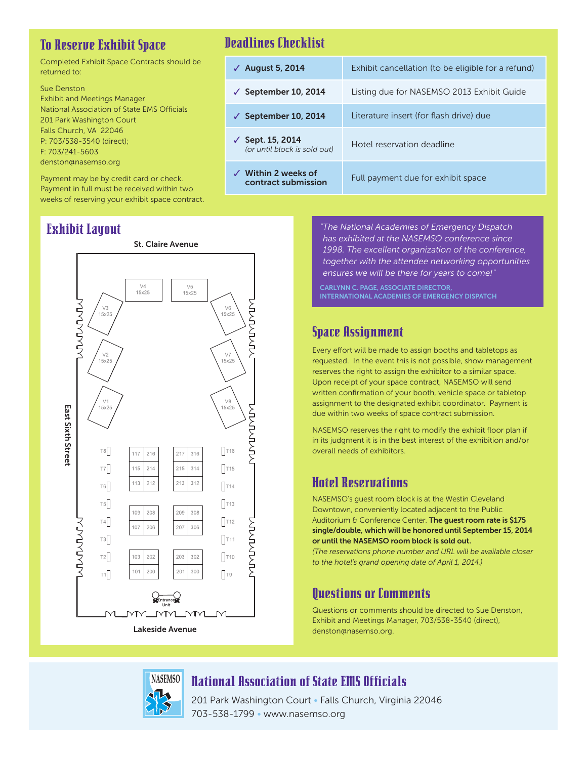#### To Reserve Exhibit Space

Completed Exhibit Space Contracts should be returned to:

Sue Denston Exhibit and Meetings Manager National Association of State EMS Officials 201 Park Washington Court Falls Church, VA 22046 P: 703/538-3540 (direct); F: 703/241-5603 denston@nasemso.org

Payment may be by credit card or check. Payment in full must be received within two weeks of reserving your exhibit space contract.

#### Exhibit Layout



#### Deadlines Checklist

| $\sqrt{ }$ August 5, 2014                             | Exhibit cancellation (to be eligible for a refund) |
|-------------------------------------------------------|----------------------------------------------------|
| $\checkmark$ September 10, 2014                       | Listing due for NASEMSO 2013 Exhibit Guide         |
| $\sqrt{ }$ September 10, 2014                         | Literature insert (for flash drive) due            |
| ✓ Sept. 15, 2014<br>(or until block is sold out)      | Hotel reservation deadline                         |
| $\checkmark$ Within 2 weeks of<br>contract submission | Full payment due for exhibit space                 |

*"The National Academies of Emergency Dispatch has exhibited at the NASEMSO conference since 1998. The excellent organization of the conference, together with the attendee networking opportunities ensures we will be there for years to come!"*

CARLYNN C. PAGE, ASSOCIATE DIRECTOR, INTERNATIONAL ACADEMIES OF EMERGENCY DISPATCH

#### Space Assignment

Every effort will be made to assign booths and tabletops as requested. In the event this is not possible, show management reserves the right to assign the exhibitor to a similar space. Upon receipt of your space contract, NASEMSO will send written confirmation of your booth, vehicle space or tabletop assignment to the designated exhibit coordinator. Payment is due within two weeks of space contract submission.

NASEMSO reserves the right to modify the exhibit floor plan if in its judgment it is in the best interest of the exhibition and/or overall needs of exhibitors.

#### Hotel Reservations

NASEMSO's guest room block is at the Westin Cleveland Downtown, conveniently located adjacent to the Public Auditorium & Conference Center. The guest room rate is \$175 single/double, which will be honored until September 15, 2014 or until the NASEMSO room block is sold out. *(The reservations phone number and URL will be available closer to the hotel's grand opening date of April 1, 2014.)* 

#### Questions or Comments

Questions or comments should be directed to Sue Denston, Exhibit and Meetings Manager, 703/538-3540 (direct), denston@nasemso.org.

**NASEMSO** National Association of State EMS Officials

201 Park Washington Court • Falls Church, Virginia 22046 703-538-1799 • www.nasemso.org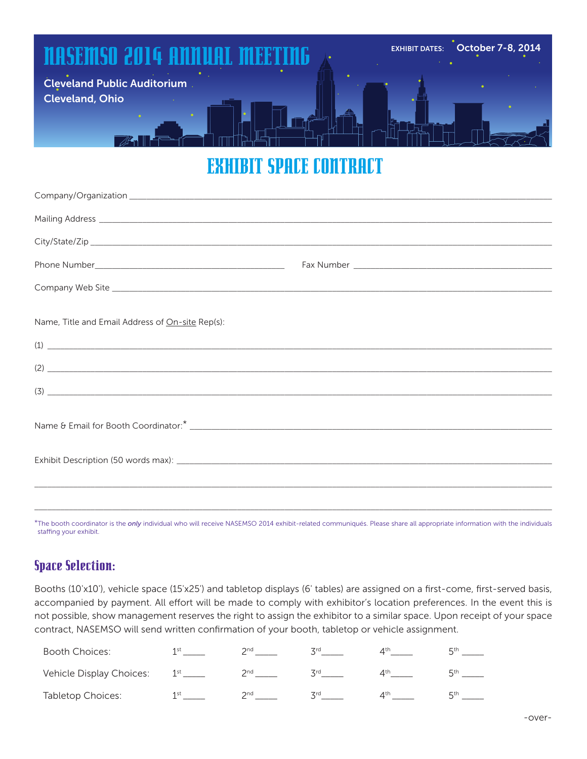## NASEMSO 2014 ANNUAL MEETING Cleveland Public Auditorium Cleveland, Ohio EXHIBIT DATES: October 7-8, 2014

### EXHIBIT SPACE CONTRACT

| Company Web Site experience and the state of the Site of the Site of the Site of the Site of the Site of the Site of the Site of the Site of the Site of the Site of the Site of the Site of the Site of the Site of the Site                                                                                                                                                        |  |
|--------------------------------------------------------------------------------------------------------------------------------------------------------------------------------------------------------------------------------------------------------------------------------------------------------------------------------------------------------------------------------------|--|
|                                                                                                                                                                                                                                                                                                                                                                                      |  |
| Name, Title and Email Address of On-site Rep(s):                                                                                                                                                                                                                                                                                                                                     |  |
| $\overline{1}$ $\overline{1}$                                                                                                                                                                                                                                                                                                                                                        |  |
| $\overline{2}$ $\overline{2}$ $\overline{2}$ $\overline{2}$ $\overline{2}$ $\overline{2}$ $\overline{2}$ $\overline{2}$ $\overline{2}$ $\overline{2}$ $\overline{2}$ $\overline{2}$ $\overline{2}$ $\overline{2}$ $\overline{2}$ $\overline{2}$ $\overline{2}$ $\overline{2}$ $\overline{2}$ $\overline{2}$ $\overline{2}$ $\overline{2}$ $\overline{2}$ $\overline{2}$ $\overline{$ |  |
| $\overline{3}$ $\overline{\phantom{3}}$                                                                                                                                                                                                                                                                                                                                              |  |
|                                                                                                                                                                                                                                                                                                                                                                                      |  |
|                                                                                                                                                                                                                                                                                                                                                                                      |  |
|                                                                                                                                                                                                                                                                                                                                                                                      |  |
|                                                                                                                                                                                                                                                                                                                                                                                      |  |
|                                                                                                                                                                                                                                                                                                                                                                                      |  |
|                                                                                                                                                                                                                                                                                                                                                                                      |  |
|                                                                                                                                                                                                                                                                                                                                                                                      |  |

\*The booth coordinator is the *only* individual who will receive NASEMSO 2014 exhibit-related communiqués. Please share all appropriate information with the individuals staffing your exhibit.

#### Space Selection:

Booths (10'x10'), vehicle space (15'x25') and tabletop displays (6' tables) are assigned on a first-come, first-served basis, accompanied by payment. All effort will be made to comply with exhibitor's location preferences. In the event this is not possible, show management reserves the right to assign the exhibitor to a similar space. Upon receipt of your space contract, NASEMSO will send written confirmation of your booth, tabletop or vehicle assignment.

| Booth Choices:           | 1st             | <b>つ</b> nd | <b>Zrd</b> | $4^{\text{th}}$ | <b>ц</b> th |
|--------------------------|-----------------|-------------|------------|-----------------|-------------|
| Vehicle Display Choices: | 1 <sup>st</sup> | 2nd         | <b>Zrd</b> | ⊿th i           | <b>ц</b> th |
| Tabletop Choices:        | 1st             | <b>Ond</b>  | <b>Zrd</b> | ⊿th             | <b>ц</b> th |